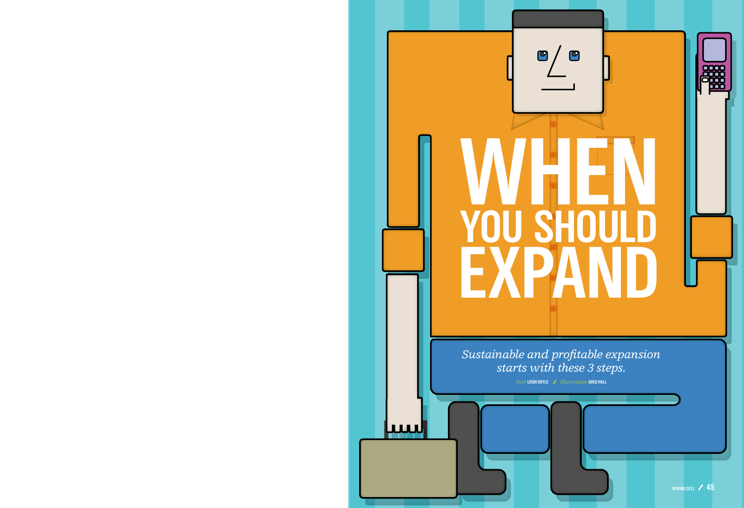